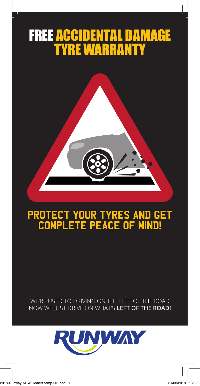# FREE ACCIDENTAL DAMAGE TYRE WARRANTY



## Protect your tyres and get complete peace of mind**!**

WE'RE USED TO DRIVING ON THE LEFT OF THE ROAD NOW WE JUST DRIVE ON WHAT'S **LEFT OF THE ROAD!**

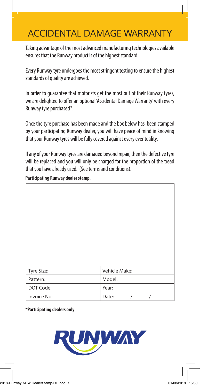### ACCIDENTAL DAMAGE WARRANTY

Taking advantage of the most advanced manufacturing technologies available ensures that the Runway product is of the highest standard.

Every Runway tyre undergoes the most stringent testing to ensure the highest standards of quality are achieved.

In order to guarantee that motorists get the most out of their Runway tyres, we are delighted to offer an optional 'Accidental Damage Warranty' with every Runway tyre purchased\*.

Once the tyre purchase has been made and the box below has been stamped by your participating Runway dealer, you will have peace of mind in knowing that your Runway tyres will be fully covered against every eventuality.

If any of your Runway tyres are damaged beyond repair, then the defective tyre will be replaced and you will only be charged for the proportion of the tread that you have already used. (See terms and conditions).

| Tyre Size:  | Vehicle Make:     |  |
|-------------|-------------------|--|
| Pattern:    | Model:            |  |
| DOT Code:   | Year:             |  |
| Invoice No: | $\prime$<br>Date: |  |

**Participating Runway dealer stamp.**

**\*Participating dealers only**

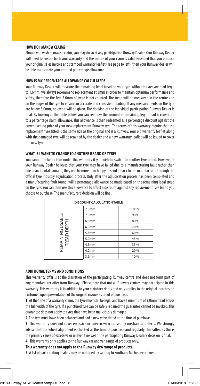#### **HOW DO I MAKE A CLAIM?**

Should you wish to make a claim, you may do so at any participating Runway Dealer. Your Runway Dealer will need to ensure both your warranty and the nature of your claim is valid. Provided that you produce your original sales invoice and stamped warranty leaflet (see page to left), then your Runway dealer will be able to calculate your entitled percentage allowance.

#### **HOW IS MY PERCENTAGE ALLOWANCE CALCULATED?**

Your Runway Dealer will measure the remaining legal tread on your tyre. Although tyres are road-legal to 1.6mm, we always recommend replacement at 3mm in order to maintain optimum performance and safety, therefore the first 3.0mm of tread is not counted. The tread will be measured in the centre and on the edges of the tyre to ensure an accurate and consistent reading. If any measurements on the tyre are below 3.0mm, no credit will be given. The decision of the individual participating Runway Dealer is final. By looking at the table below you can see how the amount of remaining legal tread is converted to a percentage claim allowance. This allowance is then redeemed as a percentage discount against the current selling price of your new replacement Runway tyre. The terms of this warranty require that the replacement tyre fitted is the same size as the original and is a Runway. Your old warranty leaflet along with the damaged tyre will be retained by the dealer and a new warranty leaflet will be issued to cover the new tyre.

#### **WHAT IF I WANT TO CHANGE TO ANOTHER BRAND OF TYRE?**

You cannot make a claim under this warranty if you wish to switch to another tyre brand. However, if your Runway Dealer believes that your tyre may have failed due to a manufacturing fault rather than due to accidental damage, they will be more than happy to send it back to the manufacturer through the official tyre industry adjudication process. Only after the adjudication process has been completed and a manufacturing fault found, will a percentage allowance be made based on the remaining legal tread on the tyre. You can then use this allowance to affect a discount against any replacement tyre brand you choose to purchase. The manufacturer's decision will be final.

| <b>DISCOUNT CALCULATION TABLE</b>            |                   |       |
|----------------------------------------------|-------------------|-------|
|                                              | 7.5 <sub>mm</sub> | 100 % |
| G USABLE<br>DEPTH<br>REMAINING L<br>TREAD DE | 7.0mm             | 90 %  |
|                                              | 6.5mm             | 80 %  |
|                                              | 6.0 <sub>mm</sub> | 70 %  |
|                                              | 5.5mm             | 60 %  |
|                                              | 5.0mm             | 45 %  |
|                                              | 4.5 <sub>mm</sub> | 35 %  |
|                                              | 4.0 <sub>mm</sub> | 20 %  |
|                                              | 3.5 <sub>mm</sub> | 10%   |

#### **ADDITIONAL TERMS AND CONDITIONS**

This warranty offer is at the discretion of the participating Runway centre and does not form part of any manufacturer offer from Runway. Please note that not all Runway centres may participate in this warranty. This warranty is in addition to your statutory rights and only applies to the original purchasing customer, upon presentation of the original invoice as proof of purchase.

**1**. At the time of a warranty claim, the tyre must still be legal and have a minimum of 3.0mm tread across the full width of the tyre. If a punctured tyre can be safely repaired the guarantee cannot be invoked. This guarantee does not apply to tyres that have been maliciously damaged.

**2**. The tyre must have been balanced and had a new valve fitted at the time of purchase.

**3**. This warranty does not cover excessive or uneven wear caused by mechanical defects. We strongly advise that the wheel alignment is checked at the time of purchase and regularly thereafter, as this is the primary cause of excessive or uneven tyre wear. The participating Runway Dealer's decision is final.

**4**. This warranty only applies to the Runway car and van range of products only.

**This warranty does not apply to the Runway 4x4 range of products.**

**5**. A list of participating dealers may be obtained by writing to Southam-Micheldever Tyres.